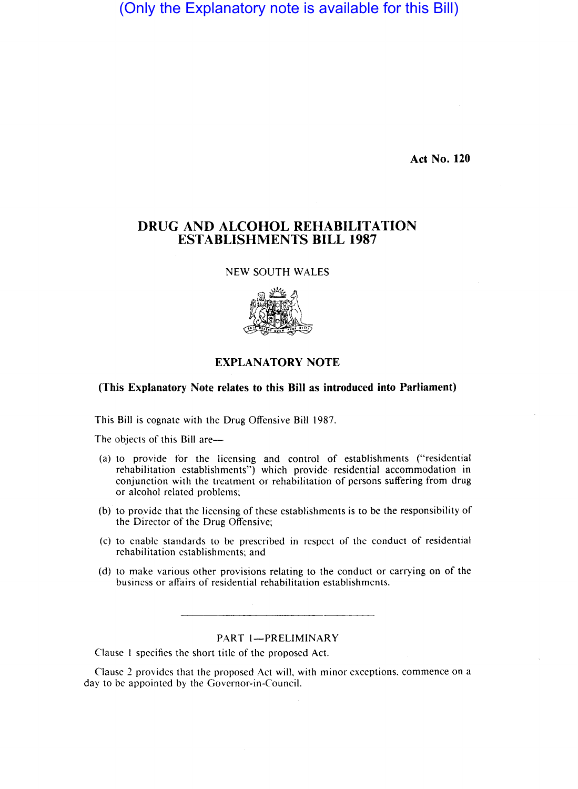(Only the Explanatory note is available for this Bill)

**Act No. 120** 

# **DRUG AND ALCOHOL REHABILITATION ESTABLISHMENTS BILL 1987**

NEW SOUTH WALES



## **EXPLANATORY NOTE**

### **(This Explanatory Note relates to this Bill as introduced into Parliament)**

This Bill is cognate with the Drug Offensive Bill 1987.

The objects of this Bill are-

- (a) to provide for the licensing and control of establishments ("residential rehabilitation establishments") which provide residential accommodation in conjunction with the treatment or rehabilitation of persons suffering from drug or alcohol related problems;
- (b) to provide that the licensing of these establishments is to be the responsibility of the Director of the Drug Offensive;
- (c) to enable standards to be prescribed in respect of the conduct of residential rehabilitation establishments; and
- (d) to make various other provisions relating to the conduct or carrying on of the business or affairs of residential rehabilitation establishments.

PART 1-PRELIMINARY

Clause I specifies the short title of the proposed Act.

Clause 2 provides that the proposed Act will, with minor exceptions, commence on a day to be appointed by the Governor-in-Council.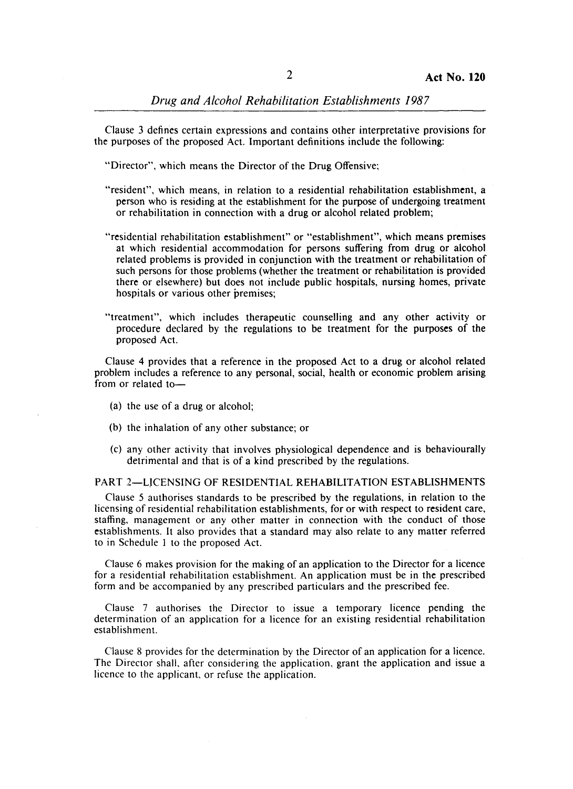Clause 3 defines certain expressions and contains other interpretative provisions for the purposes of the proposed Act. Important definitions include the following:

"Director", which means the Director of the Drug Offensive;

- "resident", which means, in relation to a residential rehabilitation establishment, a person who is residing at the establishment for the purpose of undergoing treatment or rehabilitation in connection with a drug or alcohol related problem;
- "residential rehabilitation establishment" or "establishment", which means premises at which residential accommodation for persons suffering from drug or alcohol related problems is provided in conjunction with the treatment or rehabilitation of such persons for those problems (whether the treatment or rehabilitation is provided there or elsewhere) but does not include public hospitals, nursing homes, private hospitals or various other premises;
- "treatment", which includes therapeutic counselling and any other activity or procedure declared by the regulations to be treatment for the purposes of the proposed Act.

Clause 4 provides that a reference in the proposed Act to a drug or alcohol related problem includes a reference to any personal, social, health or economic problem arising from or related to-

- (a) the use of a drug or alcohol;
- (b) the inhalation of any other substance; or
- (c) any other activity that involves physiological dependence and is behaviourally detrimental and that is of a kind prescribed by the regulations.

PART 2-LJCENSING OF RESIDENTIAL REHABILITATION ESTABLISHMENTS

Clause 5 authorises standards to be prescribed by the regulations, in relation to the licensing of residential rehabilitation establishments, for or with respect to resident care, staffing, management or any other matter in connection with the conduct of those establishments. It also provides that a standard may also relate to any matter referred to in Schedule I to the proposed Act.

Clause 6 makes provision for the making of an application to the Director for a licence for a residential rehabilitation establishment. An application must be in the prescribed form and be accompanied by any prescribed particulars and the prescribed fee.

Clause 7 authorises the Director to issue a temporary licence pending the determination of an application for a licence for an existing residential rehabilitation establishment.

Clause 8 provides for the determination by the Director of an application for a licence. The Director shall, after considering the application, grant the application and issue a licence to the applicant, or refuse the application.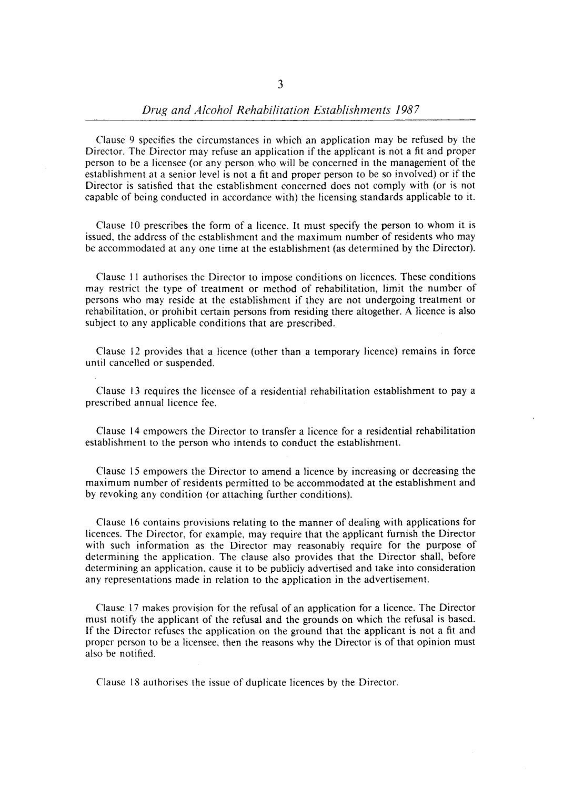Clause 9 specifies the circumstances in which an application may be refused by the Director. The Director may refuse an application if the applicant is not a fit and proper person to be a licensee (or any person who will be concerned in the management of the establishment at a senior level is not a fit and proper person to be so involved) or if the Director is satisfied that the establishment concerned does not comply with (or is not capable of being conducted in accordance with) the licensing standards applicable to it.

Clause 10 prescribes the form of a licence. It must specify the person to whom it is issued, the address of the establishment and the maximum number of residents who may be accommodated at anyone time at the establishment (as determined by the Director).

Clause II authorises the Director to impose conditions on licences. These conditions may restrict the type of treatment or method of rehabilitation, limit the number of persons who may reside at the establishment if they are not undergoing treatment or rehabilitation, or prohibit certain persons from residing there altogether. A licence is also subject to any applicable conditions that are prescribed.

Clause 12 provides that a licence (other than a temporary licence) remains in force until cancelled or suspended.

Clause 13 requires the licensee of a residential rehabilitation establishment to pay a prescribed annual licence fee.

Clause 14 empowers the Director to transfer a licence for a residential rehabilitation establishment to the person who intends to conduct the establishment.

Clause 15 empowers the Director to amend a licence by increasing or decreasing the maximum number of residents permitted to be accommodated at the establishment and by revoking any condition (or attaching further conditions).

Clause 16 contains provisions relating to the manner of dealing with applications for licences. The Director, for example, may require that the applicant furnish the Director with such information as the Director may reasonably require for the purpose of determining the application. The clause also provides that the Director shall, before determining an application, cause it to be publicly advertised and take into consideration any representations made in relation to the application in the advertisement.

Clause 17 makes provision for the refusal of an application for a licence. The Director must notify the applicant of the refusal and the grounds on which the refusal is based. If the Director refuses the application on the ground that the applicant is not a fit and proper person to be a licensee, then the reasons why the Director is of that opinion must also be notified.

Clause 18 authorises the issue of duplicate licences by the Director.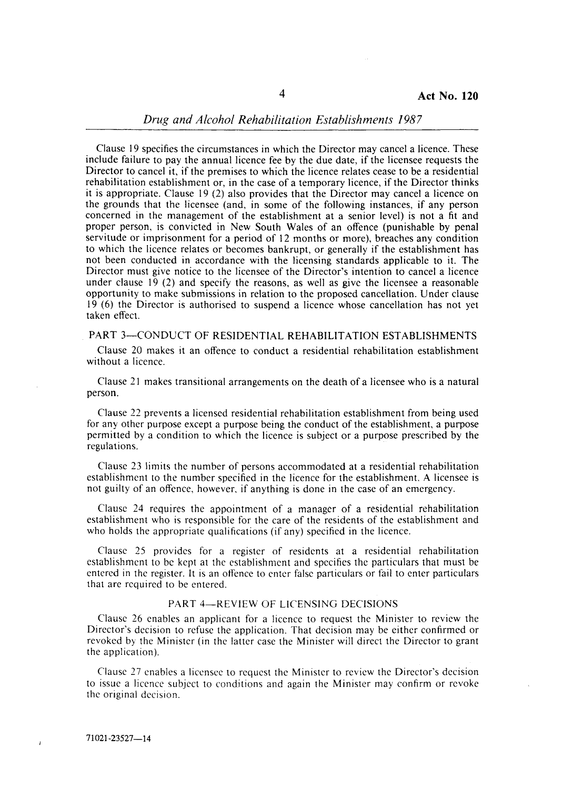#### *Drug and Alcohol Rehabilitation Establishments 1987*

Clause 19 specifies the circumstances in which the Director may cancel a licence. These include failure to pay the annual licence fee by the due date, if the licensee requests the Director to cancel it, if the premises to which the licence relates cease to be a residential rehabilitation establishment or, in the case of a temporary licence, if the Director thinks it is appropriate. Clause 19 (2) also provides that the Director may cancel a licence on the grounds that the licensee (and, in some of the following instances, if any person concerned in the management of the establishment at a senior level) is not a fit and proper person, is convicted in New South Wales of an offence (punishable by penal servitude or imprisonment for a period of 12 months or more), breaches any condition to which the licence relates or becomes bankrupt, or generally if the establishment has not been conducted in accordance with the licensing standards applicable to it. The Director must give notice to the licensee of the Director's intention to cancel a licence under clause  $19$  (2) and specify the reasons, as well as give the licensee a reasonable opportunity to make submissions in relation to the proposed cancellation. Under clause 19 (6) the Director is authorised to suspend a licence whose cancellation has not yet taken effect.

#### PART 3-CONDUCT OF RESIDENTIAL REHABILITATION ESTABLISHMENTS

Clause 20 makes it an offence to conduct a residential rehabilitation establishment without a licence.

Clause 21 makes transitional arrangements on the death of a licensee who is a natural person.

Clause 22 prevents a licensed residential rehabilitation establishment from being used for any other purpose except a purpose being the conduct of the establishment, a purpose permitted by a condition to which the licence is subject or a purpose prescribed by the regulations.

Clause 23 limits the number of persons accommodated at a residential rehabilitation establishment to the number specified in the licence for the establishment. A licensee is not guilty of an offence, however, if anything is done in the case of an emergency.

Clause 24 requires the appointment of a manager of a residential rehabilitation establishment who is responsible for the care of the residents of the establishment and who holds the appropriate qualifications (if any) specified in the licence.

Clause 25 provides for a register of residents at a residential rehabilitation establishment to be kept at the establishment and specifies the particulars that must be entered in the register. It is an offence to enter false particulars or fail to enter particulars that are required to be entered.

#### PART 4-REVIEW OF LICENSING DECISIONS

Clause 26 enables an applicant for a licence to request the Minister to review the Director's decision to refuse the application. That decision may be either confirmed or revoked by the Minister (in the latter case the Minister will direct the Director to grant the application).

Clause 27 enables a licensee to request the Minister to review the Director's decision to issue a licence subject to conditions and again the Minister may confirm or revoke the original decision.